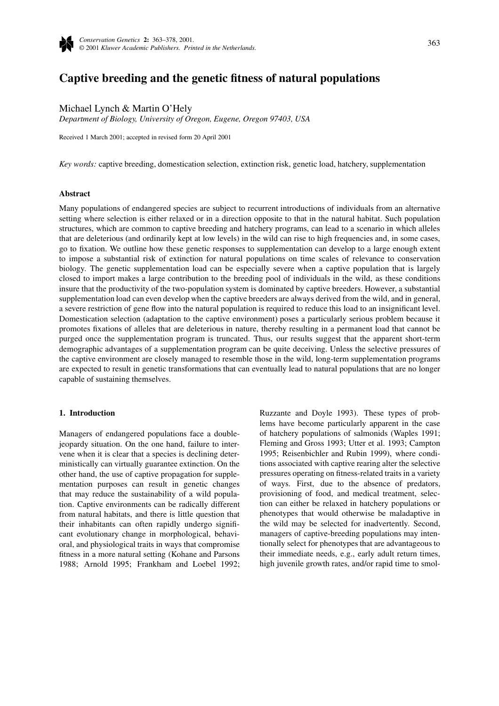

# **Captive breeding and the genetic fitness of natural populations**

Michael Lynch & Martin O'Hely

*Department of Biology, University of Oregon, Eugene, Oregon 97403, USA*

Received 1 March 2001; accepted in revised form 20 April 2001

*Key words:* captive breeding, domestication selection, extinction risk, genetic load, hatchery, supplementation

#### **Abstract**

Many populations of endangered species are subject to recurrent introductions of individuals from an alternative setting where selection is either relaxed or in a direction opposite to that in the natural habitat. Such population structures, which are common to captive breeding and hatchery programs, can lead to a scenario in which alleles that are deleterious (and ordinarily kept at low levels) in the wild can rise to high frequencies and, in some cases, go to fixation. We outline how these genetic responses to supplementation can develop to a large enough extent to impose a substantial risk of extinction for natural populations on time scales of relevance to conservation biology. The genetic supplementation load can be especially severe when a captive population that is largely closed to import makes a large contribution to the breeding pool of individuals in the wild, as these conditions insure that the productivity of the two-population system is dominated by captive breeders. However, a substantial supplementation load can even develop when the captive breeders are always derived from the wild, and in general, a severe restriction of gene flow into the natural population is required to reduce this load to an insignificant level. Domestication selection (adaptation to the captive environment) poses a particularly serious problem because it promotes fixations of alleles that are deleterious in nature, thereby resulting in a permanent load that cannot be purged once the supplementation program is truncated. Thus, our results suggest that the apparent short-term demographic advantages of a supplementation program can be quite deceiving. Unless the selective pressures of the captive environment are closely managed to resemble those in the wild, long-term supplementation programs are expected to result in genetic transformations that can eventually lead to natural populations that are no longer capable of sustaining themselves.

#### **1. Introduction**

Managers of endangered populations face a doublejeopardy situation. On the one hand, failure to intervene when it is clear that a species is declining deterministically can virtually guarantee extinction. On the other hand, the use of captive propagation for supplementation purposes can result in genetic changes that may reduce the sustainability of a wild population. Captive environments can be radically different from natural habitats, and there is little question that their inhabitants can often rapidly undergo significant evolutionary change in morphological, behavioral, and physiological traits in ways that compromise fitness in a more natural setting (Kohane and Parsons 1988; Arnold 1995; Frankham and Loebel 1992; Ruzzante and Doyle 1993). These types of problems have become particularly apparent in the case of hatchery populations of salmonids (Waples 1991; Fleming and Gross 1993; Utter et al. 1993; Campton 1995; Reisenbichler and Rubin 1999), where conditions associated with captive rearing alter the selective pressures operating on fitness-related traits in a variety of ways. First, due to the absence of predators, provisioning of food, and medical treatment, selection can either be relaxed in hatchery populations or phenotypes that would otherwise be maladaptive in the wild may be selected for inadvertently. Second, managers of captive-breeding populations may intentionally select for phenotypes that are advantageous to their immediate needs, e.g., early adult return times, high juvenile growth rates, and/or rapid time to smol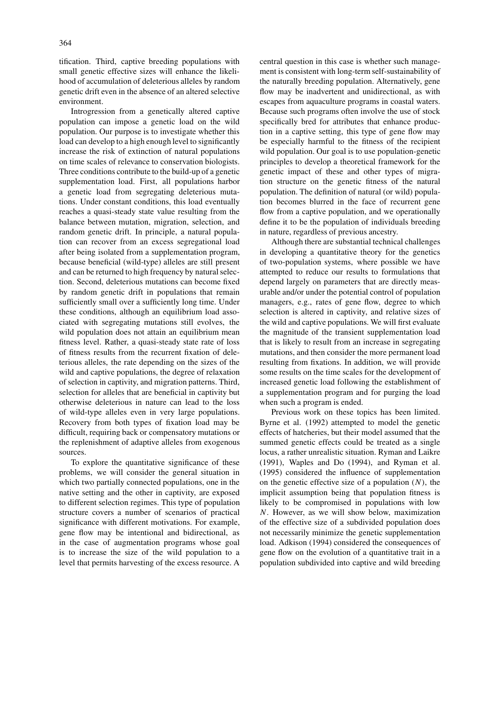tification. Third, captive breeding populations with small genetic effective sizes will enhance the likelihood of accumulation of deleterious alleles by random genetic drift even in the absence of an altered selective environment.

Introgression from a genetically altered captive population can impose a genetic load on the wild population. Our purpose is to investigate whether this load can develop to a high enough level to significantly increase the risk of extinction of natural populations on time scales of relevance to conservation biologists. Three conditions contribute to the build-up of a genetic supplementation load. First, all populations harbor a genetic load from segregating deleterious mutations. Under constant conditions, this load eventually reaches a quasi-steady state value resulting from the balance between mutation, migration, selection, and random genetic drift. In principle, a natural population can recover from an excess segregational load after being isolated from a supplementation program, because beneficial (wild-type) alleles are still present and can be returned to high frequency by natural selection. Second, deleterious mutations can become fixed by random genetic drift in populations that remain sufficiently small over a sufficiently long time. Under these conditions, although an equilibrium load associated with segregating mutations still evolves, the wild population does not attain an equilibrium mean fitness level. Rather, a quasi-steady state rate of loss of fitness results from the recurrent fixation of deleterious alleles, the rate depending on the sizes of the wild and captive populations, the degree of relaxation of selection in captivity, and migration patterns. Third, selection for alleles that are beneficial in captivity but otherwise deleterious in nature can lead to the loss of wild-type alleles even in very large populations. Recovery from both types of fixation load may be difficult, requiring back or compensatory mutations or the replenishment of adaptive alleles from exogenous sources.

To explore the quantitative significance of these problems, we will consider the general situation in which two partially connected populations, one in the native setting and the other in captivity, are exposed to different selection regimes. This type of population structure covers a number of scenarios of practical significance with different motivations. For example, gene flow may be intentional and bidirectional, as in the case of augmentation programs whose goal is to increase the size of the wild population to a level that permits harvesting of the excess resource. A

central question in this case is whether such management is consistent with long-term self-sustainability of the naturally breeding population. Alternatively, gene flow may be inadvertent and unidirectional, as with escapes from aquaculture programs in coastal waters. Because such programs often involve the use of stock specifically bred for attributes that enhance production in a captive setting, this type of gene flow may be especially harmful to the fitness of the recipient wild population. Our goal is to use population-genetic principles to develop a theoretical framework for the genetic impact of these and other types of migration structure on the genetic fitness of the natural population. The definition of natural (or wild) population becomes blurred in the face of recurrent gene flow from a captive population, and we operationally define it to be the population of individuals breeding in nature, regardless of previous ancestry.

Although there are substantial technical challenges in developing a quantitative theory for the genetics of two-population systems, where possible we have attempted to reduce our results to formulations that depend largely on parameters that are directly measurable and/or under the potential control of population managers, e.g., rates of gene flow, degree to which selection is altered in captivity, and relative sizes of the wild and captive populations. We will first evaluate the magnitude of the transient supplementation load that is likely to result from an increase in segregating mutations, and then consider the more permanent load resulting from fixations. In addition, we will provide some results on the time scales for the development of increased genetic load following the establishment of a supplementation program and for purging the load when such a program is ended.

Previous work on these topics has been limited. Byrne et al. (1992) attempted to model the genetic effects of hatcheries, but their model assumed that the summed genetic effects could be treated as a single locus, a rather unrealistic situation. Ryman and Laikre (1991), Waples and Do (1994), and Ryman et al. (1995) considered the influence of supplementation on the genetic effective size of a population *(N)*, the implicit assumption being that population fitness is likely to be compromised in populations with low *N*. However, as we will show below, maximization of the effective size of a subdivided population does not necessarily minimize the genetic supplementation load. Adkison (1994) considered the consequences of gene flow on the evolution of a quantitative trait in a population subdivided into captive and wild breeding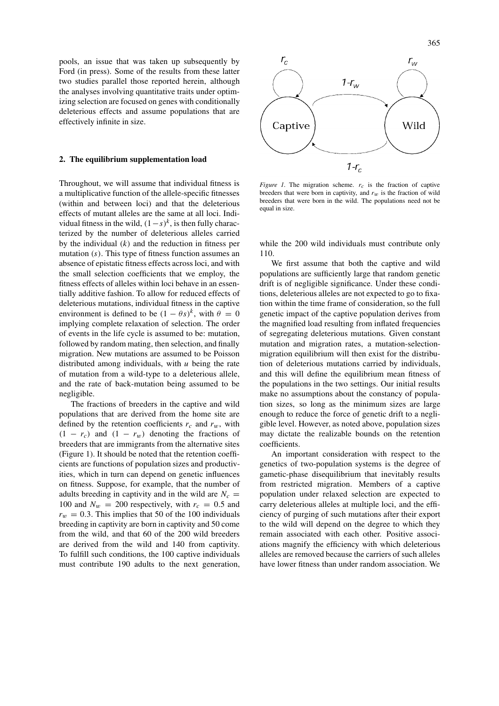pools, an issue that was taken up subsequently by Ford (in press). Some of the results from these latter two studies parallel those reported herein, although the analyses involving quantitative traits under optimizing selection are focused on genes with conditionally deleterious effects and assume populations that are effectively infinite in size.

### **2. The equilibrium supplementation load**

Throughout, we will assume that individual fitness is a multiplicative function of the allele-specific fitnesses (within and between loci) and that the deleterious effects of mutant alleles are the same at all loci. Individual fitness in the wild,  $(1-s)^k$ , is then fully characterized by the number of deleterious alleles carried by the individual *(k)* and the reduction in fitness per mutation *(s)*. This type of fitness function assumes an absence of epistatic fitness effects across loci, and with the small selection coefficients that we employ, the fitness effects of alleles within loci behave in an essentially additive fashion. To allow for reduced effects of deleterious mutations, individual fitness in the captive environment is defined to be  $(1 - \theta s)^k$ , with  $\theta = 0$ implying complete relaxation of selection. The order of events in the life cycle is assumed to be: mutation, followed by random mating, then selection, and finally migration. New mutations are assumed to be Poisson distributed among individuals, with *u* being the rate of mutation from a wild-type to a deleterious allele, and the rate of back-mutation being assumed to be negligible.

The fractions of breeders in the captive and wild populations that are derived from the home site are defined by the retention coefficients  $r_c$  and  $r_w$ , with  $(1 - r_c)$  and  $(1 - r_w)$  denoting the fractions of breeders that are immigrants from the alternative sites (Figure 1). It should be noted that the retention coefficients are functions of population sizes and productivities, which in turn can depend on genetic influences on fitness. Suppose, for example, that the number of adults breeding in captivity and in the wild are  $N_c$  = 100 and  $N_w$  = 200 respectively, with  $r_c$  = 0.5 and  $r_w = 0.3$ . This implies that 50 of the 100 individuals breeding in captivity are born in captivity and 50 come from the wild, and that 60 of the 200 wild breeders are derived from the wild and 140 from captivity. To fulfill such conditions, the 100 captive individuals must contribute 190 adults to the next generation,

 $r_c$ 

*Figure 1.* The migration scheme. *rc* is the fraction of captive breeders that were born in captivity, and  $r_w$  is the fraction of wild breeders that were born in the wild. The populations need not be equal in size.

1- $r_c$ 

while the 200 wild individuals must contribute only 110.

We first assume that both the captive and wild populations are sufficiently large that random genetic drift is of negligible significance. Under these conditions, deleterious alleles are not expected to go to fixation within the time frame of consideration, so the full genetic impact of the captive population derives from the magnified load resulting from inflated frequencies of segregating deleterious mutations. Given constant mutation and migration rates, a mutation-selectionmigration equilibrium will then exist for the distribution of deleterious mutations carried by individuals, and this will define the equilibrium mean fitness of the populations in the two settings. Our initial results make no assumptions about the constancy of population sizes, so long as the minimum sizes are large enough to reduce the force of genetic drift to a negligible level. However, as noted above, population sizes may dictate the realizable bounds on the retention coefficients.

An important consideration with respect to the genetics of two-population systems is the degree of gametic-phase disequilibrium that inevitably results from restricted migration. Members of a captive population under relaxed selection are expected to carry deleterious alleles at multiple loci, and the efficiency of purging of such mutations after their export to the wild will depend on the degree to which they remain associated with each other. Positive associations magnify the efficiency with which deleterious alleles are removed because the carriers of such alleles have lower fitness than under random association. We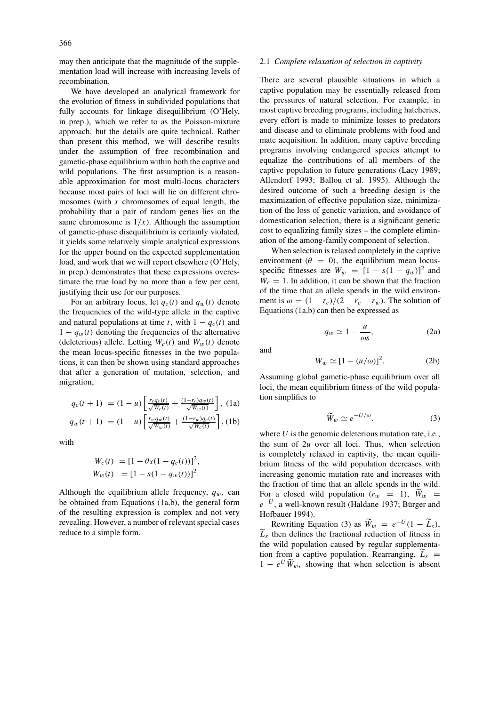may then anticipate that the magnitude of the supplementation load will increase with increasing levels of recombination.

We have developed an analytical framework for the evolution of fitness in subdivided populations that fully accounts for linkage disequilibrium (O'Hely, in prep.), which we refer to as the Poisson-mixture approach, but the details are quite technical. Rather than present this method, we will describe results under the assumption of free recombination and gametic-phase equilibrium within both the captive and wild populations. The first assumption is a reasonable approximation for most multi-locus characters because most pairs of loci will lie on different chromosomes (with *x* chromosomes of equal length, the probability that a pair of random genes lies on the same chromosome is  $1/x$ ). Although the assumption of gametic-phase disequilibrium is certainly violated, it yields some relatively simple analytical expressions for the upper bound on the expected supplementation load, and work that we will report elsewhere (O'Hely, in prep.) demonstrates that these expressions overestimate the true load by no more than a few per cent, justifying their use for our purposes.

For an arbitrary locus, let  $q_c(t)$  and  $q_w(t)$  denote the frequencies of the wild-type allele in the captive and natural populations at time *t*, with  $1 - q_c(t)$  and  $1 - q_w(t)$  denoting the frequencies of the alternative (deleterious) allele. Letting  $W_c(t)$  and  $W_w(t)$  denote the mean locus-specific fitnesses in the two populations, it can then be shown using standard approaches that after a generation of mutation, selection, and migration,

$$
q_c(t+1) = (1-u)\left[\frac{r_c q_c(t)}{\sqrt{W_c(t)}} + \frac{(1-r_c)q_w(t)}{\sqrt{W_w(t)}}\right], (1a)
$$
  

$$
q_w(t+1) = (1-u)\left[\frac{r_w q_w(t)}{\sqrt{W_w(t)}} + \frac{(1-r_w)q_c(t)}{\sqrt{W_c(t)}}\right], (1b)
$$

with

$$
W_c(t) = [1 - \theta s (1 - q_c(t))]^2,
$$
  
\n
$$
W_w(t) = [1 - s (1 - q_w(t))]^2.
$$

Although the equilibrium allele frequency,  $q_w$ , can be obtained from Equations (1a,b), the general form of the resulting expression is complex and not very revealing. However, a number of relevant special cases reduce to a simple form.

# 2.1 *Complete relaxation of selection in captivity*

There are several plausible situations in which a captive population may be essentially released from the pressures of natural selection. For example, in most captive breeding programs, including hatcheries, every effort is made to minimize losses to predators and disease and to eliminate problems with food and mate acquisition. In addition, many captive breeding programs involving endangered species attempt to equalize the contributions of all members of the captive population to future generations (Lacy 1989; Allendorf 1993; Ballou et al. 1995). Although the desired outcome of such a breeding design is the maximization of effective population size, minimization of the loss of genetic variation, and avoidance of domestication selection, there is a significant genetic cost to equalizing family sizes – the complete elimination of the among-family component of selection.

When selection is relaxed completely in the captive environment  $(\theta = 0)$ , the equilibrium mean locusspecific fitnesses are  $W_w = [1 - s(1 - q_w)]^2$  and  $W_c = 1$ . In addition, it can be shown that the fraction of the time that an allele spends in the wild environment is  $\omega = (1 - r_c)/(2 - r_c - r_w)$ . The solution of Equations (1a,b) can then be expressed as

$$
q_w \simeq 1 - \frac{u}{\omega s},\tag{2a}
$$

and

$$
W_w \simeq [1 - (u/\omega)]^2. \tag{2b}
$$

Assuming global gametic-phase equilibrium over all loci, the mean equilibrium fitness of the wild population simplifies to

$$
\widetilde{W}_w \simeq e^{-U/\omega}.\tag{3}
$$

where *U* is the genomic deleterious mutation rate, i.e., the sum of 2*u* over all loci. Thus, when selection is completely relaxed in captivity, the mean equilibrium fitness of the wild population decreases with increasing genomic mutation rate and increases with the fraction of time that an allele spends in the wild. For a closed wild population  $(r_w = 1)$ ,  $\widetilde{W}_w$ *e*−*<sup>U</sup>* , a well-known result (Haldane 1937; Bürger and Hofbauer 1994).

Rewriting Equation (3) as  $\widetilde{W}_w = e^{-U}(1 - \widetilde{L}_s)$ ,  $\widetilde{L}_s$  then defines the fractional reduction of fitness in the wild population caused by regular supplementation from a captive population. Rearranging,  $\tilde{L}_s =$  $1 - e^{U} \widetilde{W}_w$ , showing that when selection is absent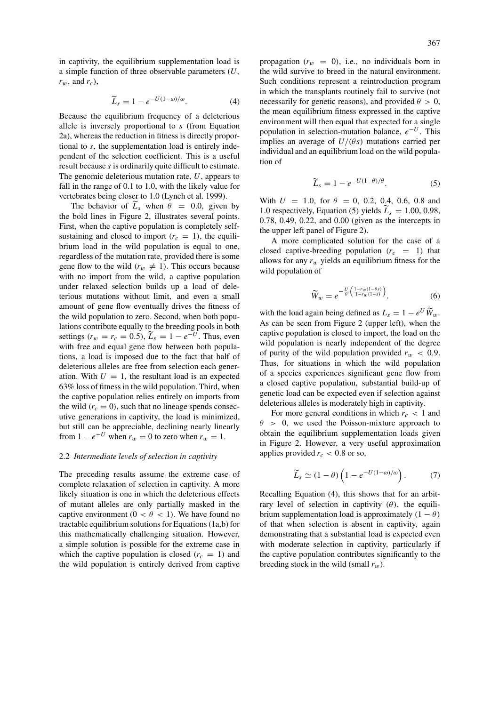in captivity, the equilibrium supplementation load is a simple function of three observable parameters *(U,*  $r_w$ , and  $r_c$ ),

$$
\widetilde{L}_s = 1 - e^{-U(1-\omega)/\omega}.\tag{4}
$$

Because the equilibrium frequency of a deleterious allele is inversely proportional to *s* (from Equation 2a), whereas the reduction in fitness is directly proportional to *s*, the supplementation load is entirely independent of the selection coefficient. This is a useful result because *s* is ordinarily quite difficult to estimate. The genomic deleterious mutation rate, *U*, appears to fall in the range of 0.1 to 1.0, with the likely value for vertebrates being closer to 1.0 (Lynch et al. 1999).

The behavior of  $\overline{L}_s$  when  $\theta = 0.0$ , given by the bold lines in Figure 2, illustrates several points. First, when the captive population is completely selfsustaining and closed to import  $(r_c = 1)$ , the equilibrium load in the wild population is equal to one, regardless of the mutation rate, provided there is some gene flow to the wild  $(r_w \neq 1)$ . This occurs because with no import from the wild, a captive population under relaxed selection builds up a load of deleterious mutations without limit, and even a small amount of gene flow eventually drives the fitness of the wild population to zero. Second, when both populations contribute equally to the breeding pools in both settings  $(r_w = r_c = 0.5)$ ,  $\tilde{L}_s = 1 - e^{-U}$ . Thus, even with free and equal gene flow between both populations, a load is imposed due to the fact that half of deleterious alleles are free from selection each generation. With  $U = 1$ , the resultant load is an expected 63% loss of fitness in the wild population. Third, when the captive population relies entirely on imports from the wild  $(r_c = 0)$ , such that no lineage spends consecutive generations in captivity, the load is minimized, but still can be appreciable, declining nearly linearly from  $1 - e^{-U}$  when  $r_w = 0$  to zero when  $r_w = 1$ .

# 2.2 *Intermediate levels of selection in captivity*

The preceding results assume the extreme case of complete relaxation of selection in captivity. A more likely situation is one in which the deleterious effects of mutant alleles are only partially masked in the captive environment  $(0 < \theta < 1)$ . We have found no tractable equilibrium solutions for Equations (1a,b) for this mathematically challenging situation. However, a simple solution is possible for the extreme case in which the captive population is closed  $(r_c = 1)$  and the wild population is entirely derived from captive

propagation  $(r_w = 0)$ , i.e., no individuals born in the wild survive to breed in the natural environment. Such conditions represent a reintroduction program in which the transplants routinely fail to survive (not necessarily for genetic reasons), and provided  $\theta > 0$ , the mean equilibrium fitness expressed in the captive environment will then equal that expected for a single population in selection-mutation balance, *e*−*<sup>U</sup>* . This implies an average of  $U/(\theta s)$  mutations carried per individual and an equilibrium load on the wild population of

$$
\widetilde{L}_s = 1 - e^{-U(1-\theta)/\theta}.\tag{5}
$$

With  $U = 1.0$ , for  $\theta = 0$ , 0.2, 0.4, 0.6, 0.8 and 1.0 respectively, Equation (5) yields  $\bar{L}_s = 1.00, 0.98$ , 0.78, 0.49, 0.22, and 0.00 (given as the intercepts in the upper left panel of Figure 2).

A more complicated solution for the case of a closed captive-breeding population  $(r_c = 1)$  that allows for any  $r_w$  yields an equilibrium fitness for the wild population of

$$
\widetilde{W}_w = e^{-\frac{U}{\theta} \left( \frac{1 - r_w(1 - \theta s)}{1 - r_w(1 - s)} \right)}.
$$
\n
$$
(6)
$$

with the load again being defined as  $L_s = 1 - e^U \widetilde{W}_w$ . As can be seen from Figure 2 (upper left), when the captive population is closed to import, the load on the wild population is nearly independent of the degree of purity of the wild population provided  $r_w < 0.9$ . Thus, for situations in which the wild population of a species experiences significant gene flow from a closed captive population, substantial build-up of genetic load can be expected even if selection against deleterious alleles is moderately high in captivity.

For more general conditions in which  $r_c < 1$  and *θ >* 0, we used the Poisson-mixture approach to obtain the equilibrium supplementation loads given in Figure 2. However, a very useful approximation applies provided  $r_c < 0.8$  or so,

$$
\widetilde{L}_s \simeq (1 - \theta) \left( 1 - e^{-U(1 - \omega)/\omega} \right). \tag{7}
$$

Recalling Equation (4), this shows that for an arbitrary level of selection in captivity  $(\theta)$ , the equilibrium supplementation load is approximately  $(1 - \theta)$ of that when selection is absent in captivity, again demonstrating that a substantial load is expected even with moderate selection in captivity, particularly if the captive population contributes significantly to the breeding stock in the wild (small  $r_w$ ).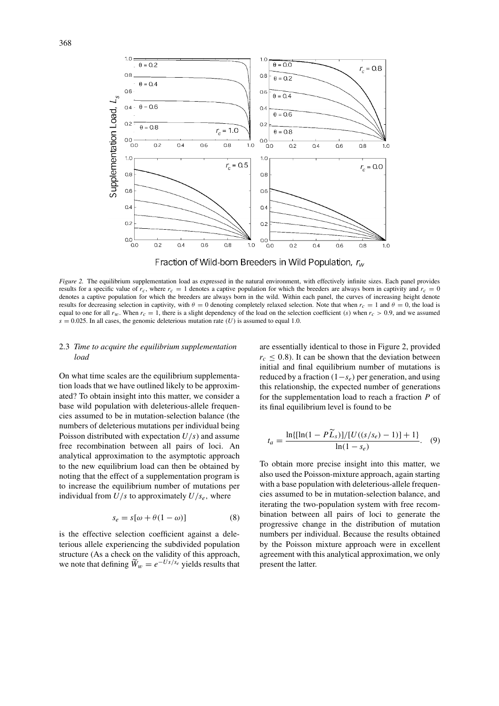

Fraction of Wild-born Breeders in Wild Population,  $r_w$ 

*Figure 2.* The equilibrium supplementation load as expressed in the natural environment, with effectively infinite sizes. Each panel provides results for a specific value of  $r_c$ , where  $r_c = 1$  denotes a captive population for which the breeders are always born in captivity and  $r_c = 0$ denotes a captive population for which the breeders are always born in the wild. Within each panel, the curves of increasing height denote results for decreasing selection in captivity, with  $\theta = 0$  denoting completely relaxed selection. Note that when  $r_c = 1$  and  $\theta = 0$ , the load is equal to one for all  $r_w$ . When  $r_c = 1$ , there is a slight dependency of the load on the selection coefficient *(s)* when  $r_c > 0.9$ , and we assumed  $s = 0.025$ . In all cases, the genomic deleterious mutation rate  $(U)$  is assumed to equal 1.0.

# 2.3 *Time to acquire the equilibrium supplementation load*

On what time scales are the equilibrium supplementation loads that we have outlined likely to be approximated? To obtain insight into this matter, we consider a base wild population with deleterious-allele frequencies assumed to be in mutation-selection balance (the numbers of deleterious mutations per individual being Poisson distributed with expectation *U/s*) and assume free recombination between all pairs of loci. An analytical approximation to the asymptotic approach to the new equilibrium load can then be obtained by noting that the effect of a supplementation program is to increase the equilibrium number of mutations per individual from  $U/s$  to approximately  $U/s_e$ , where

$$
s_e = s[\omega + \theta(1 - \omega)] \tag{8}
$$

is the effective selection coefficient against a deleterious allele experiencing the subdivided population structure (As a check on the validity of this approach, we note that defining  $\widetilde{W}_w = e^{-Us/s_e}$  yields results that

are essentially identical to those in Figure 2, provided  $r_c \leq 0.8$ ). It can be shown that the deviation between initial and final equilibrium number of mutations is reduced by a fraction *(*1−*se)* per generation, and using this relationship, the expected number of generations for the supplementation load to reach a fraction *P* of its final equilibrium level is found to be

$$
t_a = \frac{\ln\{[\ln(1 - P\widetilde{L}_s)] / [U((s/s_e) - 1)] + 1\}}{\ln(1 - s_e)}.
$$
 (9)

To obtain more precise insight into this matter, we also used the Poisson-mixture approach, again starting with a base population with deleterious-allele frequencies assumed to be in mutation-selection balance, and iterating the two-population system with free recombination between all pairs of loci to generate the progressive change in the distribution of mutation numbers per individual. Because the results obtained by the Poisson mixture approach were in excellent agreement with this analytical approximation, we only present the latter.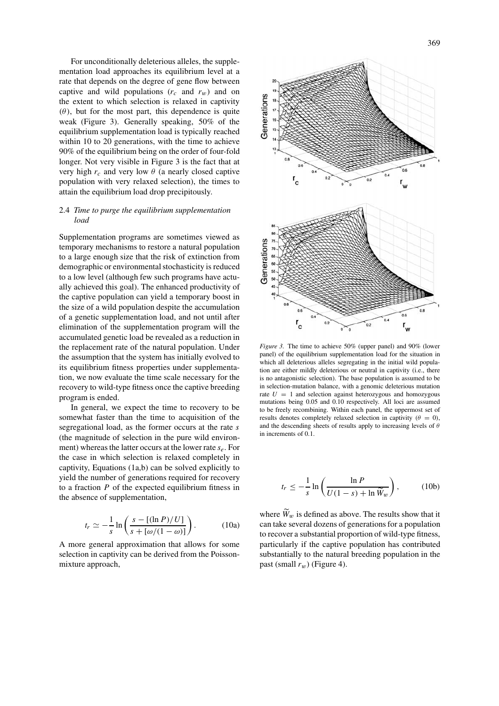For unconditionally deleterious alleles, the supplementation load approaches its equilibrium level at a rate that depends on the degree of gene flow between captive and wild populations  $(r_c \text{ and } r_w)$  and on the extent to which selection is relaxed in captivity  $(\theta)$ , but for the most part, this dependence is quite weak (Figure 3). Generally speaking, 50% of the equilibrium supplementation load is typically reached within 10 to 20 generations, with the time to achieve 90% of the equilibrium being on the order of four-fold longer. Not very visible in Figure 3 is the fact that at very high  $r_c$  and very low  $\theta$  (a nearly closed captive population with very relaxed selection), the times to attain the equilibrium load drop precipitously.

# 2.4 *Time to purge the equilibrium supplementation load*

Supplementation programs are sometimes viewed as temporary mechanisms to restore a natural population to a large enough size that the risk of extinction from demographic or environmental stochasticity is reduced to a low level (although few such programs have actually achieved this goal). The enhanced productivity of the captive population can yield a temporary boost in the size of a wild population despite the accumulation of a genetic supplementation load, and not until after elimination of the supplementation program will the accumulated genetic load be revealed as a reduction in the replacement rate of the natural population. Under the assumption that the system has initially evolved to its equilibrium fitness properties under supplementation, we now evaluate the time scale necessary for the recovery to wild-type fitness once the captive breeding program is ended.

In general, we expect the time to recovery to be somewhat faster than the time to acquisition of the segregational load, as the former occurs at the rate *s* (the magnitude of selection in the pure wild environment) whereas the latter occurs at the lower rate *se*. For the case in which selection is relaxed completely in captivity, Equations (1a,b) can be solved explicitly to yield the number of generations required for recovery to a fraction *P* of the expected equilibrium fitness in the absence of supplementation,

$$
t_r \simeq -\frac{1}{s} \ln \left( \frac{s - \left[ (\ln P)/U \right]}{s + \left[ \omega / (1 - \omega) \right]} \right). \tag{10a}
$$

A more general approximation that allows for some selection in captivity can be derived from the Poissonmixture approach,



*Figure 3.* The time to achieve 50% (upper panel) and 90% (lower panel) of the equilibrium supplementation load for the situation in which all deleterious alleles segregating in the initial wild population are either mildly deleterious or neutral in captivity (i.e., there is no antagonistic selection). The base population is assumed to be in selection-mutation balance, with a genomic deleterious mutation rate  $U = 1$  and selection against heterozygous and homozygous mutations being 0.05 and 0.10 respectively. All loci are assumed to be freely recombining. Within each panel, the uppermost set of results denotes completely relaxed selection in captivity  $(\theta = 0)$ , and the descending sheets of results apply to increasing levels of *θ* in increments of 0.1.

$$
t_r \le -\frac{1}{s} \ln \left( \frac{\ln P}{U(1-s) + \ln \widetilde{W}_w} \right),\tag{10b}
$$

where  $\widetilde{W}_w$  is defined as above. The results show that it can take several dozens of generations for a population to recover a substantial proportion of wild-type fitness, particularly if the captive population has contributed substantially to the natural breeding population in the past (small  $r_w$ ) (Figure 4).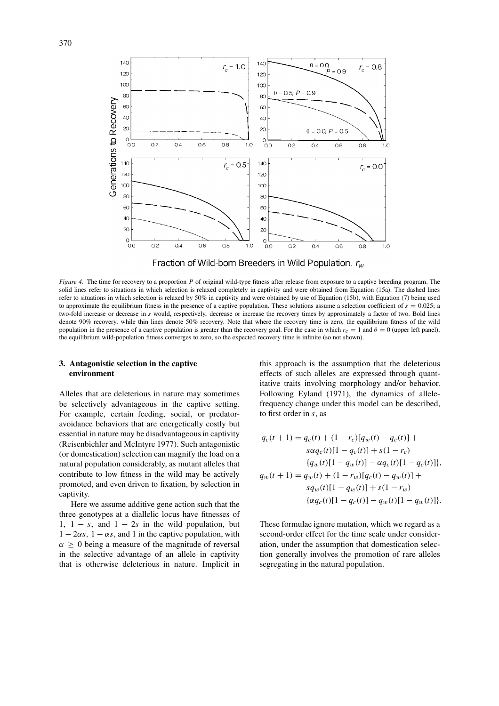

Fraction of Wild-born Breeders in Wild Population,  $r_{w}$ 

*Figure 4.* The time for recovery to a proportion *P* of original wild-type fitness after release from exposure to a captive breeding program. The solid lines refer to situations in which selection is relaxed completely in captivity and were obtained from Equation (15a). The dashed lines refer to situations in which selection is relaxed by 50% in captivity and were obtained by use of Equation (15b), with Equation (7) being used to approximate the equilibrium fitness in the presence of a captive population. These solutions assume a selection coefficient of  $s = 0.025$ ; a two-fold increase or decrease in *s* would, respectively, decrease or increase the recovery times by approximately a factor of two. Bold lines denote 90% recovery, while thin lines denote 50% recovery. Note that where the recovery time is zero, the equilibrium fitness of the wild population in the presence of a captive population is greater than the recovery goal. For the case in which  $r_c = 1$  and  $\theta = 0$  (upper left panel), the equilibrium wild-population fitness converges to zero, so the expected recovery time is infinite (so not shown).

# **3. Antagonistic selection in the captive environment**

Alleles that are deleterious in nature may sometimes be selectively advantageous in the captive setting. For example, certain feeding, social, or predatoravoidance behaviors that are energetically costly but essential in nature may be disadvantageous in captivity (Reisenbichler and McIntyre 1977). Such antagonistic (or domestication) selection can magnify the load on a natural population considerably, as mutant alleles that contribute to low fitness in the wild may be actively promoted, and even driven to fixation, by selection in captivity.

Here we assume additive gene action such that the three genotypes at a diallelic locus have fitnesses of 1,  $1 - s$ , and  $1 - 2s$  in the wild population, but  $1 - 2\alpha s$ ,  $1 - \alpha s$ , and 1 in the captive population, with  $\alpha \geq 0$  being a measure of the magnitude of reversal in the selective advantage of an allele in captivity that is otherwise deleterious in nature. Implicit in

this approach is the assumption that the deleterious effects of such alleles are expressed through quantitative traits involving morphology and/or behavior. Following Eyland (1971), the dynamics of allelefrequency change under this model can be described, to first order in *s*, as

$$
q_c(t + 1) = q_c(t) + (1 - r_c)[q_w(t) - q_c(t)] +
$$
  
\n
$$
s\alpha q_c(t)[1 - q_c(t)] + s(1 - r_c)
$$
  
\n
$$
\{q_w(t)[1 - q_w(t)] - \alpha q_c(t)[1 - q_c(t)]\},
$$
  
\n
$$
q_w(t + 1) = q_w(t) + (1 - r_w)[q_c(t) - q_w(t)] +
$$
  
\n
$$
sq_w(t)[1 - q_w(t)] + s(1 - r_w)
$$
  
\n
$$
\{\alpha q_c(t)[1 - q_c(t)] - q_w(t)[1 - q_w(t)]\}.
$$

These formulae ignore mutation, which we regard as a second-order effect for the time scale under consideration, under the assumption that domestication selection generally involves the promotion of rare alleles segregating in the natural population.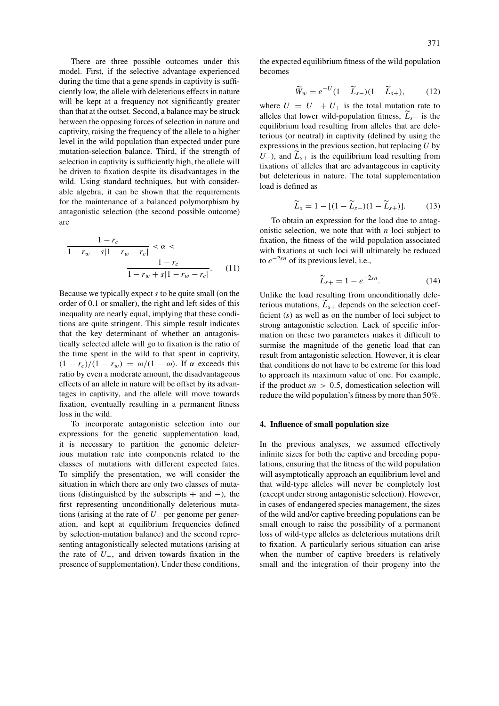There are three possible outcomes under this model. First, if the selective advantage experienced during the time that a gene spends in captivity is sufficiently low, the allele with deleterious effects in nature will be kept at a frequency not significantly greater than that at the outset. Second, a balance may be struck between the opposing forces of selection in nature and captivity, raising the frequency of the allele to a higher level in the wild population than expected under pure mutation-selection balance. Third, if the strength of selection in captivity is sufficiently high, the allele will be driven to fixation despite its disadvantages in the wild. Using standard techniques, but with considerable algebra, it can be shown that the requirements for the maintenance of a balanced polymorphism by antagonistic selection (the second possible outcome) are

$$
\frac{1 - r_c}{1 - r_w - s|1 - r_w - r_c|} < \alpha < \frac{1 - r_c}{1 - r_w + s|1 - r_w - r_c|}. \tag{11}
$$

Because we typically expect *s* to be quite small (on the order of 0.1 or smaller), the right and left sides of this inequality are nearly equal, implying that these conditions are quite stringent. This simple result indicates that the key determinant of whether an antagonistically selected allele will go to fixation is the ratio of the time spent in the wild to that spent in captivity,  $(1 - r_c)/(1 - r_w) = \omega/(1 - \omega)$ . If  $\alpha$  exceeds this ratio by even a moderate amount, the disadvantageous effects of an allele in nature will be offset by its advantages in captivity, and the allele will move towards fixation, eventually resulting in a permanent fitness loss in the wild.

To incorporate antagonistic selection into our expressions for the genetic supplementation load, it is necessary to partition the genomic deleterious mutation rate into components related to the classes of mutations with different expected fates. To simplify the presentation, we will consider the situation in which there are only two classes of mutations (distinguished by the subscripts  $+$  and  $-$ ), the first representing unconditionally deleterious mutations (arising at the rate of *U*− per genome per generation, and kept at equilibrium frequencies defined by selection-mutation balance) and the second representing antagonistically selected mutations (arising at the rate of  $U_{+}$ , and driven towards fixation in the presence of supplementation). Under these conditions,

the expected equilibrium fitness of the wild population becomes

$$
\widetilde{W}_w = e^{-U}(1 - \widetilde{L}_{s-})(1 - \widetilde{L}_{s+}),\tag{12}
$$

where  $U = U_{-} + U_{+}$  is the total mutation rate to alleles that lower wild-population fitness,  $\widetilde{L}_{s-}$  is the equilibrium load resulting from alleles that are deleterious (or neutral) in captivity (defined by using the expressions in the previous section, but replacing *U* by *U*<sup>−</sup>), and  $L_{s+}$  is the equilibrium load resulting from fixations of alleles that are advantageous in captivity but deleterious in nature. The total supplementation load is defined as

$$
\widetilde{L}_s = 1 - [(1 - \widetilde{L}_{s-})(1 - \widetilde{L}_{s+})]. \tag{13}
$$

To obtain an expression for the load due to antagonistic selection, we note that with *n* loci subject to fixation, the fitness of the wild population associated with fixations at such loci will ultimately be reduced to *e*−2*sn* of its previous level, i.e.,

$$
\widetilde{L}_{s+} = 1 - e^{-2sn}.
$$
 (14)

Unlike the load resulting from unconditionally deleterious mutations,  $L_{s+}$  depends on the selection coefficient *(s)* as well as on the number of loci subject to strong antagonistic selection. Lack of specific information on these two parameters makes it difficult to surmise the magnitude of the genetic load that can result from antagonistic selection. However, it is clear that conditions do not have to be extreme for this load to approach its maximum value of one. For example, if the product  $sn > 0.5$ , domestication selection will reduce the wild population's fitness by more than 50%.

#### **4. Influence of small population size**

In the previous analyses, we assumed effectively infinite sizes for both the captive and breeding populations, ensuring that the fitness of the wild population will asymptotically approach an equilibrium level and that wild-type alleles will never be completely lost (except under strong antagonistic selection). However, in cases of endangered species management, the sizes of the wild and/or captive breeding populations can be small enough to raise the possibility of a permanent loss of wild-type alleles as deleterious mutations drift to fixation. A particularly serious situation can arise when the number of captive breeders is relatively small and the integration of their progeny into the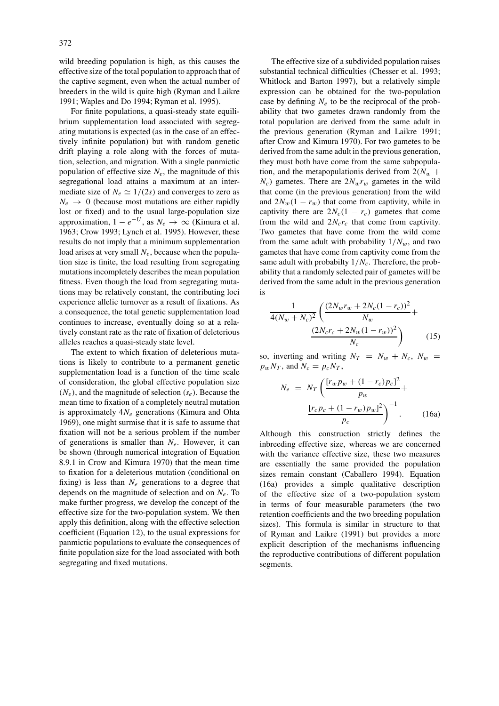wild breeding population is high, as this causes the effective size of the total population to approach that of the captive segment, even when the actual number of breeders in the wild is quite high (Ryman and Laikre 1991; Waples and Do 1994; Ryman et al. 1995).

For finite populations, a quasi-steady state equilibrium supplementation load associated with segregating mutations is expected (as in the case of an effectively infinite population) but with random genetic drift playing a role along with the forces of mutation, selection, and migration. With a single panmictic population of effective size  $N_e$ , the magnitude of this segregational load attains a maximum at an intermediate size of  $N_e \simeq 1/(2s)$  and converges to zero as  $N_e \rightarrow 0$  (because most mutations are either rapidly lost or fixed) and to the usual large-population size approximation,  $1 - e^{-U}$ , as  $N_e \rightarrow \infty$  (Kimura et al. 1963; Crow 1993; Lynch et al. 1995). However, these results do not imply that a minimum supplementation load arises at very small  $N_e$ , because when the population size is finite, the load resulting from segregating mutations incompletely describes the mean population fitness. Even though the load from segregating mutations may be relatively constant, the contributing loci experience allelic turnover as a result of fixations. As a consequence, the total genetic supplementation load continues to increase, eventually doing so at a relatively constant rate as the rate of fixation of deleterious alleles reaches a quasi-steady state level.

The extent to which fixation of deleterious mutations is likely to contribute to a permanent genetic supplementation load is a function of the time scale of consideration, the global effective population size *(Ne)*, and the magnitude of selection *(se)*. Because the mean time to fixation of a completely neutral mutation is approximately 4*Ne* generations (Kimura and Ohta 1969), one might surmise that it is safe to assume that fixation will not be a serious problem if the number of generations is smaller than *Ne*. However, it can be shown (through numerical integration of Equation 8.9.1 in Crow and Kimura 1970) that the mean time to fixation for a deleterious mutation (conditional on fixing) is less than  $N_e$  generations to a degree that depends on the magnitude of selection and on *Ne*. To make further progress, we develop the concept of the effective size for the two-population system. We then apply this definition, along with the effective selection coefficient (Equation 12), to the usual expressions for panmictic populations to evaluate the consequences of finite population size for the load associated with both segregating and fixed mutations.

The effective size of a subdivided population raises substantial technical difficulties (Chesser et al. 1993; Whitlock and Barton 1997), but a relatively simple expression can be obtained for the two-population case by defining  $N_e$  to be the reciprocal of the probability that two gametes drawn randomly from the total population are derived from the same adult in the previous generation (Ryman and Laikre 1991; after Crow and Kimura 1970). For two gametes to be derived from the same adult in the previous generation, they must both have come from the same subpopulation, and the metapopulationis derived from  $2(N_w +$  $N_c$ ) gametes. There are  $2N_wr_w$  gametes in the wild that come (in the previous generation) from the wild and  $2N_w(1 - r_w)$  that come from captivity, while in captivity there are  $2N_c(1 - r_c)$  gametes that come from the wild and  $2N_c r_c$  that come from captivity. Two gametes that have come from the wild come from the same adult with probability  $1/N_w$ , and two gametes that have come from captivity come from the same adult with probabilty 1*/Nc*. Therefore, the probability that a randomly selected pair of gametes will be derived from the same adult in the previous generation is

$$
\frac{1}{4(N_w + N_c)^2} \left( \frac{(2N_w r_w + 2N_c(1 - r_c))^2}{N_w} + \frac{(2N_c r_c + 2N_w(1 - r_w))^2}{N_c} \right)
$$
(15)

so, inverting and writing  $N_T = N_w + N_c$ ,  $N_w =$  $p_w N_T$ , and  $N_c = p_c N_T$ ,

$$
N_e = N_T \left( \frac{[r_w p_w + (1 - r_c)p_c]^2}{p_w} + \frac{[r_c p_c + (1 - r_w)p_w]^2}{p_c} \right)^{-1}.
$$
 (16a)

Although this construction strictly defines the inbreeding effective size, whereas we are concerned with the variance effective size, these two measures are essentially the same provided the population sizes remain constant (Caballero 1994). Equation (16a) provides a simple qualitative description of the effective size of a two-population system in terms of four measurable parameters (the two retention coefficients and the two breeding population sizes). This formula is similar in structure to that of Ryman and Laikre (1991) but provides a more explicit description of the mechanisms influencing the reproductive contributions of different population segments.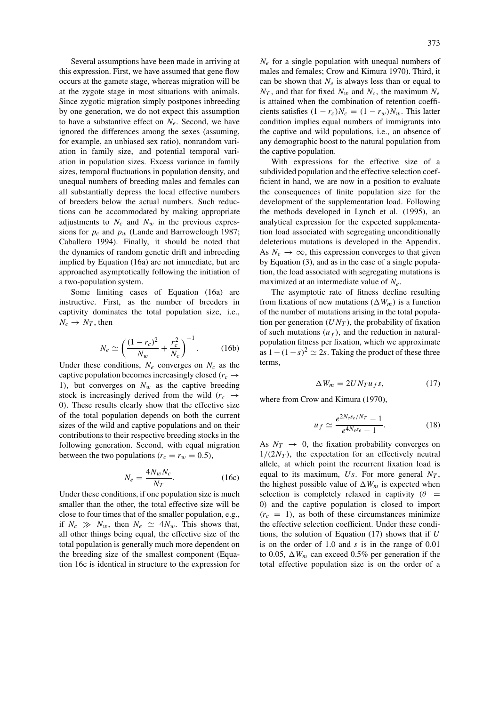Several assumptions have been made in arriving at this expression. First, we have assumed that gene flow occurs at the gamete stage, whereas migration will be at the zygote stage in most situations with animals. Since zygotic migration simply postpones inbreeding by one generation, we do not expect this assumption to have a substantive effect on *Ne*. Second, we have ignored the differences among the sexes (assuming, for example, an unbiased sex ratio), nonrandom variation in family size, and potential temporal variation in population sizes. Excess variance in family sizes, temporal fluctuations in population density, and unequal numbers of breeding males and females can all substantially depress the local effective numbers of breeders below the actual numbers. Such reductions can be accommodated by making appropriate adjustments to  $N_c$  and  $N_w$  in the previous expressions for  $p_c$  and  $p_w$  (Lande and Barrowclough 1987; Caballero 1994). Finally, it should be noted that the dynamics of random genetic drift and inbreeding implied by Equation (16a) are not immediate, but are approached asymptotically following the initiation of a two-population system.

Some limiting cases of Equation (16a) are instructive. First, as the number of breeders in captivity dominates the total population size, i.e.,  $N_c \rightarrow N_T$ , then

$$
N_e \simeq \left(\frac{(1 - r_c)^2}{N_w} + \frac{r_c^2}{N_c}\right)^{-1}.
$$
 (16b)

Under these conditions,  $N_e$  converges on  $N_c$  as the captive population becomes increasingly closed  $(r_c \rightarrow$ 1), but converges on  $N_w$  as the captive breeding stock is increasingly derived from the wild  $(r_c \rightarrow$ 0*)*. These results clearly show that the effective size of the total population depends on both the current sizes of the wild and captive populations and on their contributions to their respective breeding stocks in the following generation. Second, with equal migration between the two populations  $(r_c = r_w = 0.5)$ ,

$$
N_e = \frac{4N_w N_c}{N_T}.\tag{16c}
$$

Under these conditions, if one population size is much smaller than the other, the total effective size will be close to four times that of the smaller population, e.g., if  $N_c \gg N_w$ , then  $N_e \simeq 4N_w$ . This shows that, all other things being equal, the effective size of the total population is generally much more dependent on the breeding size of the smallest component (Equation 16c is identical in structure to the expression for *Ne* for a single population with unequal numbers of males and females; Crow and Kimura 1970). Third, it can be shown that  $N_e$  is always less than or equal to  $N_T$ , and that for fixed  $N_w$  and  $N_c$ , the maximum  $N_e$ is attained when the combination of retention coefficients satisfies  $(1 - r_c)N_c = (1 - r_w)N_w$ . This latter condition implies equal numbers of immigrants into the captive and wild populations, i.e., an absence of any demographic boost to the natural population from the captive population.

With expressions for the effective size of a subdivided population and the effective selection coefficient in hand, we are now in a position to evaluate the consequences of finite population size for the development of the supplementation load. Following the methods developed in Lynch et al. (1995), an analytical expression for the expected supplementation load associated with segregating unconditionally deleterious mutations is developed in the Appendix. As  $N_e \rightarrow \infty$ , this expression converges to that given by Equation (3), and as in the case of a single population, the load associated with segregating mutations is maximized at an intermediate value of *Ne*.

The asymptotic rate of fitness decline resulting from fixations of new mutations  $(\Delta W_m)$  is a function of the number of mutations arising in the total population per generation  $(UN_T)$ , the probability of fixation of such mutations  $(u_f)$ , and the reduction in naturalpopulation fitness per fixation, which we approximate as  $1-(1-s)^2$   $\simeq$  2*s*. Taking the product of these three terms,

$$
\Delta W_m = 2U N_T u_f s, \qquad (17)
$$

where from Crow and Kimura (1970),

$$
u_f \simeq \frac{e^{2N_e s_e/N_T} - 1}{e^{4N_e s_e} - 1}.\tag{18}
$$

As  $N_T \rightarrow 0$ , the fixation probability converges on  $1/(2N_T)$ , the expectation for an effectively neutral allele, at which point the recurrent fixation load is equal to its maximum,  $Us$ . For more general  $N_T$ , the highest possible value of  $\Delta W_m$  is expected when selection is completely relaxed in captivity  $(\theta =$ 0*)* and the captive population is closed to import  $(r_c = 1)$ , as both of these circumstances minimize the effective selection coefficient. Under these conditions, the solution of Equation (17) shows that if *U* is on the order of 1.0 and *s* is in the range of 0.01 to 0.05,  $\Delta W_m$  can exceed 0.5% per generation if the total effective population size is on the order of a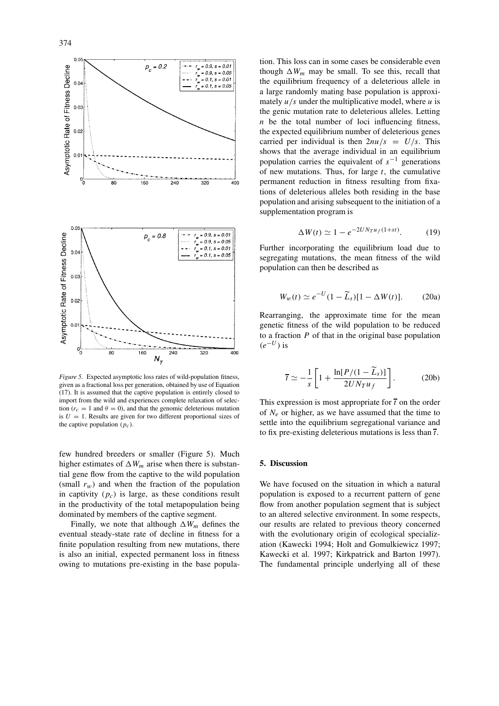

*Figure 5.* Expected asymptotic loss rates of wild-population fitness, given as a fractional loss per generation, obtained by use of Equation (17). It is assumed that the captive population is entirely closed to import from the wild and experiences complete relaxation of selection ( $r_c = 1$  and  $\theta = 0$ ), and that the genomic deleterious mutation is  $U = 1$ . Results are given for two different proportional sizes of the captive population *(pc)*.

few hundred breeders or smaller (Figure 5). Much higher estimates of  $\Delta W_m$  arise when there is substantial gene flow from the captive to the wild population (small  $r_w$ ) and when the fraction of the population in captivity  $(p_c)$  is large, as these conditions result in the productivity of the total metapopulation being dominated by members of the captive segment.

Finally, we note that although  $\Delta W_m$  defines the eventual steady-state rate of decline in fitness for a finite population resulting from new mutations, there is also an initial, expected permanent loss in fitness owing to mutations pre-existing in the base population. This loss can in some cases be considerable even though  $\Delta W_m$  may be small. To see this, recall that the equilibrium frequency of a deleterious allele in a large randomly mating base population is approximately *u/s* under the multiplicative model, where *u* is the genic mutation rate to deleterious alleles. Letting *n* be the total number of loci influencing fitness, the expected equilibrium number of deleterious genes carried per individual is then  $2nu/s = U/s$ . This shows that the average individual in an equilibrium population carries the equivalent of  $s^{-1}$  generations of new mutations. Thus, for large *t*, the cumulative permanent reduction in fitness resulting from fixations of deleterious alleles both residing in the base population and arising subsequent to the initiation of a supplementation program is

$$
\Delta W(t) \simeq 1 - e^{-2UN_T u_f(1+st)}.\tag{19}
$$

Further incorporating the equilibrium load due to segregating mutations, the mean fitness of the wild population can then be described as

$$
W_w(t) \simeq e^{-U}(1 - \widetilde{L}_s)[1 - \Delta W(t)]. \tag{20a}
$$

Rearranging, the approximate time for the mean genetic fitness of the wild population to be reduced to a fraction *P* of that in the original base population  $(e^{-U})$  is

$$
\bar{t} \simeq -\frac{1}{s} \left[ 1 + \frac{\ln[P/(1 - \widetilde{L}_s)]}{2UN_T u_f} \right].
$$
 (20b)

This expression is most appropriate for  $\bar{t}$  on the order of  $N_e$  or higher, as we have assumed that the time to settle into the equilibrium segregational variance and to fix pre-existing deleterious mutations is less than  $\overline{t}$ .

# **5. Discussion**

We have focused on the situation in which a natural population is exposed to a recurrent pattern of gene flow from another population segment that is subject to an altered selective environment. In some respects, our results are related to previous theory concerned with the evolutionary origin of ecological specialization (Kawecki 1994; Holt and Gomulkiewicz 1997; Kawecki et al. 1997; Kirkpatrick and Barton 1997). The fundamental principle underlying all of these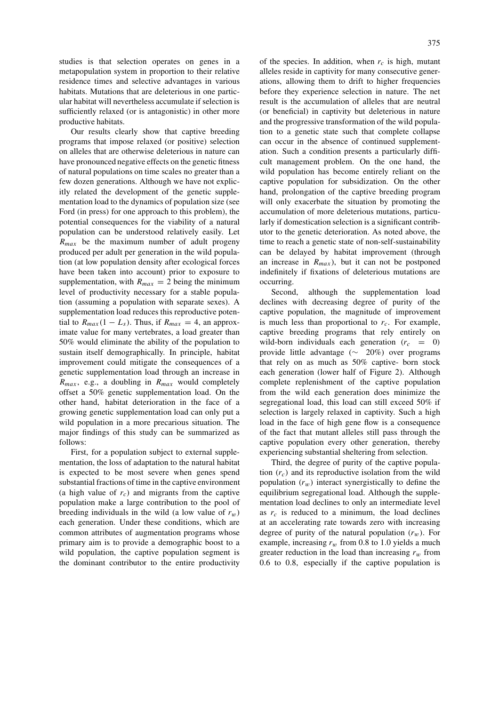studies is that selection operates on genes in a metapopulation system in proportion to their relative residence times and selective advantages in various habitats. Mutations that are deleterious in one particular habitat will nevertheless accumulate if selection is sufficiently relaxed (or is antagonistic) in other more productive habitats.

Our results clearly show that captive breeding programs that impose relaxed (or positive) selection on alleles that are otherwise deleterious in nature can have pronounced negative effects on the genetic fitness of natural populations on time scales no greater than a few dozen generations. Although we have not explicitly related the development of the genetic supplementation load to the dynamics of population size (see Ford (in press) for one approach to this problem), the potential consequences for the viability of a natural population can be understood relatively easily. Let *Rmax* be the maximum number of adult progeny produced per adult per generation in the wild population (at low population density after ecological forces have been taken into account) prior to exposure to supplementation, with  $R_{max} = 2$  being the minimum level of productivity necessary for a stable population (assuming a population with separate sexes). A supplementation load reduces this reproductive potential to  $R_{max}(1 - L_s)$ . Thus, if  $R_{max} = 4$ , an approximate value for many vertebrates, a load greater than 50% would eliminate the ability of the population to sustain itself demographically. In principle, habitat improvement could mitigate the consequences of a genetic supplementation load through an increase in  $R_{max}$ , e.g., a doubling in  $R_{max}$  would completely offset a 50% genetic supplementation load. On the other hand, habitat deterioration in the face of a growing genetic supplementation load can only put a wild population in a more precarious situation. The major findings of this study can be summarized as follows:

First, for a population subject to external supplementation, the loss of adaptation to the natural habitat is expected to be most severe when genes spend substantial fractions of time in the captive environment (a high value of *rc*) and migrants from the captive population make a large contribution to the pool of breeding individuals in the wild (a low value of  $r_w$ ) each generation. Under these conditions, which are common attributes of augmentation programs whose primary aim is to provide a demographic boost to a wild population, the captive population segment is the dominant contributor to the entire productivity

of the species. In addition, when  $r_c$  is high, mutant alleles reside in captivity for many consecutive generations, allowing them to drift to higher frequencies before they experience selection in nature. The net result is the accumulation of alleles that are neutral (or beneficial) in captivity but deleterious in nature and the progressive transformation of the wild population to a genetic state such that complete collapse can occur in the absence of continued supplementation. Such a condition presents a particularly difficult management problem. On the one hand, the wild population has become entirely reliant on the captive population for subsidization. On the other hand, prolongation of the captive breeding program will only exacerbate the situation by promoting the accumulation of more deleterious mutations, particularly if domestication selection is a significant contributor to the genetic deterioration. As noted above, the time to reach a genetic state of non-self-sustainability can be delayed by habitat improvement (through an increase in  $R_{max}$ ), but it can not be postponed indefinitely if fixations of deleterious mutations are occurring.

Second, although the supplementation load declines with decreasing degree of purity of the captive population, the magnitude of improvement is much less than proportional to  $r_c$ . For example, captive breeding programs that rely entirely on wild-born individuals each generation  $(r_c = 0)$ provide little advantage (∼ 20%) over programs that rely on as much as 50% captive- born stock each generation (lower half of Figure 2). Although complete replenishment of the captive population from the wild each generation does minimize the segregational load, this load can still exceed 50% if selection is largely relaxed in captivity. Such a high load in the face of high gene flow is a consequence of the fact that mutant alleles still pass through the captive population every other generation, thereby experiencing substantial sheltering from selection.

Third, the degree of purity of the captive population  $(r_c)$  and its reproductive isolation from the wild population  $(r_w)$  interact synergistically to define the equilibrium segregational load. Although the supplementation load declines to only an intermediate level as  $r_c$  is reduced to a minimum, the load declines at an accelerating rate towards zero with increasing degree of purity of the natural population  $(r_w)$ . For example, increasing  $r_w$  from 0.8 to 1.0 yields a much greater reduction in the load than increasing *rw* from 0.6 to 0.8, especially if the captive population is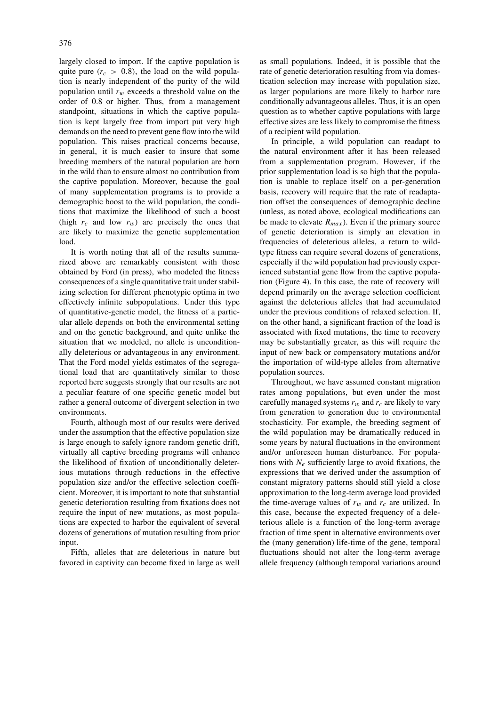largely closed to import. If the captive population is quite pure  $(r_c > 0.8)$ , the load on the wild population is nearly independent of the purity of the wild population until  $r_w$  exceeds a threshold value on the order of 0.8 or higher. Thus, from a management standpoint, situations in which the captive population is kept largely free from import put very high demands on the need to prevent gene flow into the wild population. This raises practical concerns because, in general, it is much easier to insure that some breeding members of the natural population are born in the wild than to ensure almost no contribution from the captive population. Moreover, because the goal of many supplementation programs is to provide a demographic boost to the wild population, the conditions that maximize the likelihood of such a boost (high  $r_c$  and low  $r_w$ ) are precisely the ones that are likely to maximize the genetic supplementation load.

It is worth noting that all of the results summarized above are remarkably consistent with those obtained by Ford (in press), who modeled the fitness consequences of a single quantitative trait under stabilizing selection for different phenotypic optima in two effectively infinite subpopulations. Under this type of quantitative-genetic model, the fitness of a particular allele depends on both the environmental setting and on the genetic background, and quite unlike the situation that we modeled, no allele is unconditionally deleterious or advantageous in any environment. That the Ford model yields estimates of the segregational load that are quantitatively similar to those reported here suggests strongly that our results are not a peculiar feature of one specific genetic model but rather a general outcome of divergent selection in two environments.

Fourth, although most of our results were derived under the assumption that the effective population size is large enough to safely ignore random genetic drift, virtually all captive breeding programs will enhance the likelihood of fixation of unconditionally deleterious mutations through reductions in the effective population size and/or the effective selection coefficient. Moreover, it is important to note that substantial genetic deterioration resulting from fixations does not require the input of new mutations, as most populations are expected to harbor the equivalent of several dozens of generations of mutation resulting from prior input.

Fifth, alleles that are deleterious in nature but favored in captivity can become fixed in large as well as small populations. Indeed, it is possible that the rate of genetic deterioration resulting from via domestication selection may increase with population size, as larger populations are more likely to harbor rare conditionally advantageous alleles. Thus, it is an open question as to whether captive populations with large effective sizes are less likely to compromise the fitness of a recipient wild population.

In principle, a wild population can readapt to the natural environment after it has been released from a supplementation program. However, if the prior supplementation load is so high that the population is unable to replace itself on a per-generation basis, recovery will require that the rate of readaptation offset the consequences of demographic decline (unless, as noted above, ecological modifications can be made to elevate  $R_{max}$ ). Even if the primary source of genetic deterioration is simply an elevation in frequencies of deleterious alleles, a return to wildtype fitness can require several dozens of generations, especially if the wild population had previously experienced substantial gene flow from the captive population (Figure 4). In this case, the rate of recovery will depend primarily on the average selection coefficient against the deleterious alleles that had accumulated under the previous conditions of relaxed selection. If, on the other hand, a significant fraction of the load is associated with fixed mutations, the time to recovery may be substantially greater, as this will require the input of new back or compensatory mutations and/or the importation of wild-type alleles from alternative population sources.

Throughout, we have assumed constant migration rates among populations, but even under the most carefully managed systems  $r_w$  and  $r_c$  are likely to vary from generation to generation due to environmental stochasticity. For example, the breeding segment of the wild population may be dramatically reduced in some years by natural fluctuations in the environment and/or unforeseen human disturbance. For populations with *Ne* sufficiently large to avoid fixations, the expressions that we derived under the assumption of constant migratory patterns should still yield a close approximation to the long-term average load provided the time-average values of  $r_w$  and  $r_c$  are utilized. In this case, because the expected frequency of a deleterious allele is a function of the long-term average fraction of time spent in alternative environments over the (many generation) life-time of the gene, temporal fluctuations should not alter the long-term average allele frequency (although temporal variations around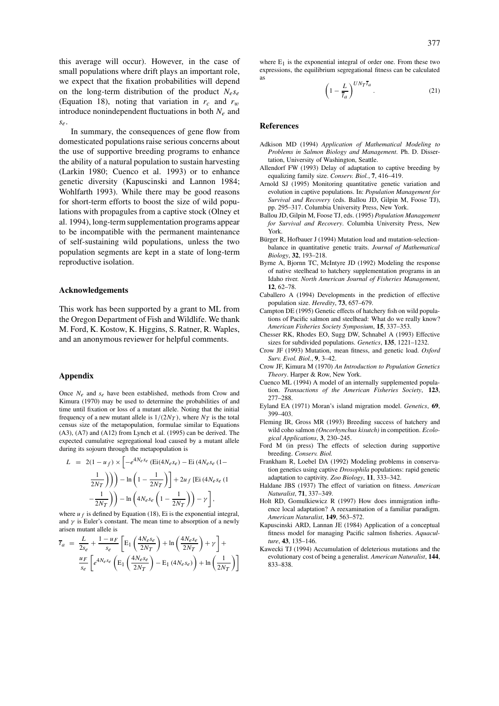In summary, the consequences of gene flow from domesticated populations raise serious concerns about the use of supportive breeding programs to enhance the ability of a natural population to sustain harvesting (Larkin 1980; Cuenco et al. 1993) or to enhance genetic diversity (Kapuscinski and Lannon 1984; Wohlfarth 1993). While there may be good reasons for short-term efforts to boost the size of wild populations with propagules from a captive stock (Olney et al. 1994), long-term supplementation programs appear to be incompatible with the permanent maintenance of self-sustaining wild populations, unless the two population segments are kept in a state of long-term reproductive isolation.

#### **Acknowledgements**

This work has been supported by a grant to ML from the Oregon Department of Fish and Wildlife. We thank M. Ford, K. Kostow, K. Higgins, S. Ratner, R. Waples, and an anonymous reviewer for helpful comments.

#### **Appendix**

Once *N<sub>e</sub>* and *s<sub>e</sub>* have been established, methods from Crow and Kimura (1970) may be used to determine the probabilities of and time until fixation or loss of a mutant allele. Noting that the initial frequency of a new mutant allele is  $1/(2N_T)$ , where  $N_T$  is the total census size of the metapopulation, formulae similar to Equations (A3), (A7) and (A12) from Lynch et al. (1995) can be derived. The expected cumulative segregational load caused by a mutant allele during its sojourn through the metapopulation is

$$
L = 2(1 - u_f) \times \left[ -e^{4N_e s_e} \left( \text{Ei}(4N_e s_e) - \text{Ei}(4N_e s_e \right) \right]
$$

$$
- \frac{1}{2N_T} \right) - \ln \left( 1 - \frac{1}{2N_T} \right) + 2u_f \left[ \text{Ei}(4N_e s_e \left( 1 - \frac{1}{2N_T} \right) \right]
$$

$$
- \frac{1}{2N_T} \right) - \ln \left( 4N_e s_e \left( 1 - \frac{1}{2N_T} \right) \right) - \gamma \right],
$$

where  $u_f$  is defined by Equation (18), Ei is the exponential integral, and  $\gamma$  is Euler's constant. The mean time to absorption of a newly arisen mutant allele is

$$
\overline{t}_a = \frac{L}{2s_e} + \frac{1 - u_F}{s_e} \left[ \mathcal{E}_1 \left( \frac{4N_e s_e}{2N_T} \right) + \ln \left( \frac{4N_e s_e}{2N_T} \right) + \gamma \right] +
$$
  

$$
\frac{u_F}{s_e} \left[ e^{4N_e s_e} \left( \mathcal{E}_1 \left( \frac{4N_e s_e}{2N_T} \right) - \mathcal{E}_1 \left( 4N_e s_e \right) \right) + \ln \left( \frac{1}{2N_T} \right) \right]
$$

where  $E_1$  is the exponential integral of order one. From these two expressions, the equilibrium segregational fitness can be calculated as

$$
\left(1 - \frac{L}{\bar{t}_a}\right)^{UN_T \bar{t}_a}.\tag{21}
$$

#### **References**

- Adkison MD (1994) *Application of Mathematical Modeling to Problems in Salmon Biology and Management*. Ph. D. Dissertation, University of Washington, Seattle.
- Allendorf FW (1993) Delay of adaptation to captive breeding by equalizing family size. *Conserv. Biol.*, **7**, 416–419.
- Arnold SJ (1995) Monitoring quantitative genetic variation and evolution in captive populations. In: *Population Management for Survival and Recovery* (eds. Ballou JD, Gilpin M, Foose TJ), pp. 295–317. Columbia University Press, New York.
- Ballou JD, Gilpin M, Foose TJ, eds. (1995) *Population Management for Survival and Recovery*. Columbia University Press, New York.
- Bürger R, Hofbauer J (1994) Mutation load and mutation-selectionbalance in quantitative genetic traits. *Journal of Mathematical Biology*, **32**, 193–218.
- Byrne A, Bjornn TC, McIntyre JD (1992) Modeling the response of native steelhead to hatchery supplementation programs in an Idaho river. *North American Journal of Fisheries Management*, **12**, 62–78.
- Caballero A (1994) Developments in the prediction of effective population size. *Heredity*, **73**, 657–679.
- Campton DE (1995) Genetic effects of hatchery fish on wild populations of Pacific salmon and steelhead: What do we really know? *American Fisheries Society Symposium*, **15**, 337–353.
- Chesser RK, Rhodes EO, Sugg DW, Schnabel A (1993) Effective sizes for subdivided populations. *Genetics*, **135**, 1221–1232.
- Crow JF (1993) Mutation, mean fitness, and genetic load. *Oxford Surv. Evol. Biol.*, **9**, 3–42.
- Crow JF, Kimura M (1970) *An Introduction to Population Genetics Theory*. Harper & Row, New York.
- Cuenco ML (1994) A model of an internally supplemented population. *Transactions of the American Fisheries Society*, **123**, 277–288.
- Eyland EA (1971) Moran's island migration model. *Genetics*, **69**, 399–403.
- Fleming IR, Gross MR (1993) Breeding success of hatchery and wild coho salmon *(Oncorhynchus kisutch)* in competition. *Ecological Applications*, **3**, 230–245.
- Ford M (in press) The effects of selection during supportive breeding. *Conserv. Biol.*
- Frankham R, Loebel DA (1992) Modeling problems in conservation genetics using captive *Drosophila* populations: rapid genetic adaptation to captivity. *Zoo Biology*, **11**, 333–342.
- Haldane JBS (1937) The effect of variation on fitness. *American Naturalist*, **71**, 337–349.
- Holt RD, Gomulkiewicz R (1997) How does immigration influence local adaptation? A reexamination of a familiar paradigm. *American Naturalist*, **149**, 563–572.
- Kapuscinski ARD, Lannan JE (1984) Application of a conceptual fitness model for managing Pacific salmon fisheries. *Aquaculture*, **43**, 135–146.
- Kawecki TJ (1994) Accumulation of deleterious mutations and the evolutionary cost of being a generalist. *American Naturalist*, **144**, 833–838.